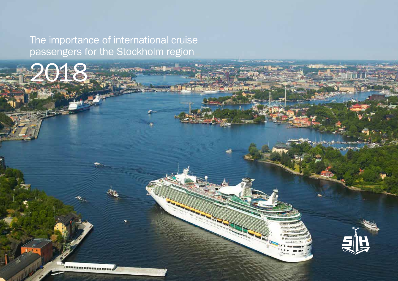# The importance of international cruise passengers for the Stockholm region

 $\frac{1}{2}$  . The  $\frac{1}{2}$ 

22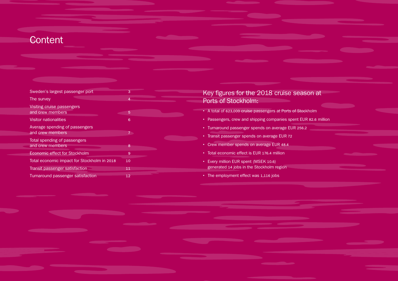#### **Content**

**Contract Contract Contract** 

| Sweden's largest passenger port                |                 | Key figures for the 2018 cruise season at                        |  |
|------------------------------------------------|-----------------|------------------------------------------------------------------|--|
| The survey                                     |                 | Ports of Stockholm:                                              |  |
| Visiting cruise passengers<br>and crew members |                 | • A total of 623,000 cruise passengers at Ports of Stockholm     |  |
| <b>Visitor nationalities</b>                   | ъ               | • Passengers, crew and shipping companies spent EUR 82.6 million |  |
| Average spending of passengers                 |                 | · Turnaround passenger spends on average EUR 256.2               |  |
| and crew members                               |                 | Transit passenger spends on average EUR 72                       |  |
| Total spending of passengers                   |                 |                                                                  |  |
| and crew members                               |                 | • Crew member spends on average EUR 48.4                         |  |
| Economic effect for Stockholm                  | 9               | • Total economic effect is EUR 176.4 million                     |  |
| Total economic impact for Stockholm in 2018    | 10              | • Every million EUR spent (MSEK 10.6)                            |  |
| Transit passenger satisfaction                 | 11              | generated 14 jobs in the Stockholm region                        |  |
| Turnaround passenger satisfaction              | 12 <sub>1</sub> | • The employment effect was 1,116 jobs                           |  |

<u>and the second contract of the second contract of the second contract of the second contract of the second contract of the second contract of the second contract of the second contract of the second contract of the second</u>

<u> The Community of the Community of the Community of the Community of the Community of the Community of the Community of the Community of the Community of the Community of the Community of the Community of the Community of</u>

<u> De la Barca de la Barca de la Barca de la Barca de la Barca de la Barca de la Barca de la Barca de la Barca de la Barca de la Barca de la Barca de la Barca de la Barca de la Barca de la Barca de la Barca de la Barca de l</u>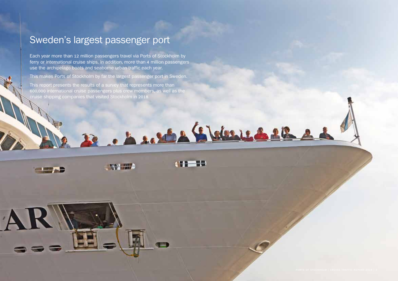## Sweden's largest passenger port

Each year more than 12 million passengers travel via Ports of Stockholm by ferry or international cruise ships. In addition, more than 4 million passengers use the archipelago boats and seaborne urban traffic each year.

This makes Ports of Stockholm by far the largest passenger port in Sweden.

This report presents the results of a survey that represents more than 600,000 international cruise passengers plus crew members, as well as the cruise shipping companies that visited Stockholm in 2018



.

AR





Le charles de la comme de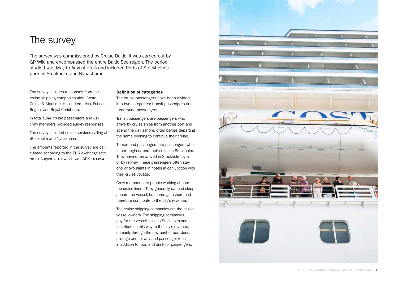#### The survey

The survey was commissioned by Cruise Baltic. It was carried out by GP Wild and encompassed the entire Baltic Sea region. The period studied was May to August 2018 and included Ports of Stockholm's ports in Stockholm and Nynäshamn.

The survey includes responses from the cruise shipping companies Aida, Costa, Cruise & Maritime, Holland America, Princess, Regent and Royal Caribbean.

In total 1,697 cruise passengers and 617 crew members provided survey responses.

The survey included cruise services calling at Stockholm and Nynäshamn.

The amounts reported in the survey are calculated according to the EUR exchange rate on 31 August 2018, which was SEK 10.6094.

#### Definition of categories

The cruise passengers have been divided into two categories; transit passengers and turnaround passengers.

Transit passengers are passengers who arrive by cruise ships from another port and spend the day ashore, often before departing the same evening to continue their cruise.

Turnaround passengers are passengers who either begin or end their cruise in Stockholm. They have often arrived in Stockholm by air or by railway. These passengers often stay one or two nights in hotels in conjunction with their cruise voyage.

Crew members are people working aboard the cruise liners. They generally eat and sleep aboard the vessel, but some go ashore and therefore contribute to the city's revenue.

The cruise shipping companies are the cruise vessel owners. The shipping companies pay for the vessel's call to Stockholm and contribute in this way to the city's revenue, primarily through the payment of port dues, pilotage and fairway and passenger fees, in addition to food and drink for passengers.

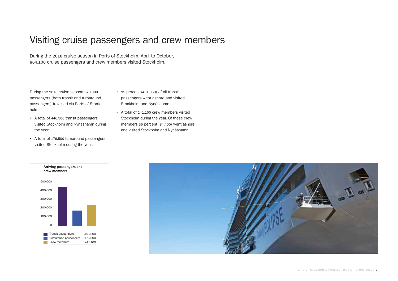## Visiting cruise passengers and crew members

During the 2018 cruise season in Ports of Stockholm, April to October, 864,100 cruise passengers and crew members visited Stockholm.

During the 2018 cruise season 623,000 passengers (both transit and turnaround passengers) travelled via Ports of Stockholm.

- A total of 446,500 transit passengers visited Stockholm and Nynäshamn during the year.
- A total of 176,500 turnaround passengers visited Stockholm during the year.
- 95 percent (401,850) of all transit passengers went ashore and visited Stockholm and Nynäshamn.
- A total of 241,100 crew members visited Stockholm during the year. Of these crew members 35 percent (84,400) went ashore and visited Stockholm and Nynäshamn.



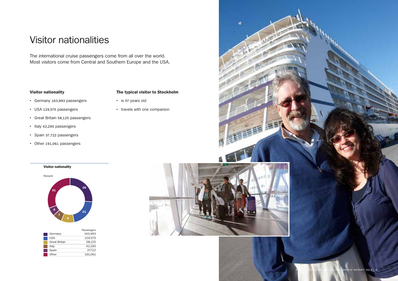### Visitor nationalities

The international cruise passengers come from all over the world. Most visitors come from Central and Southern Europe and the USA.

#### Visitor nationality

#### The typical visitor to Stockholm

- Germany 163,993 passengers
- travels with one companion

• is 57-years old

- Great Britain 58,125 passengers
- Italy 42,290 passengers

• USA 129,575 passengers

- Spain 37,722 passengers
- Other 191,061 passengers

Visitor nationality



|                      | Passengers |
|----------------------|------------|
| Germany              | 163,993    |
| <b>USA</b>           | 129.575    |
| <b>Great Britain</b> | 58.125     |
| Italy                | 42.290     |
| Spain                | 37,722     |
| Other                | 191.061    |



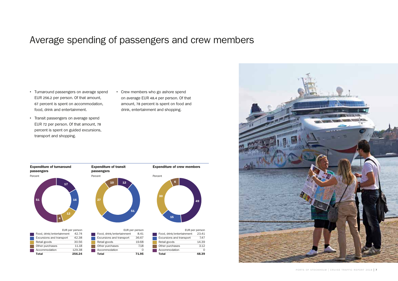### Average spending of passengers and crew members

- Turnaround passengers on average spend EUR 256.2 per person. Of that amount, 67 percent is spent on accommodation, food, drink and entertainment.
- Transit passengers on average spend EUR 72 per person. Of that amount, 78 percent is spent on guided excursions, transport and shopping.
- Crew members who go ashore spend on average EUR 48.4 per person. Of that amount, 78 percent is spent on food and drink, entertainment and shopping.



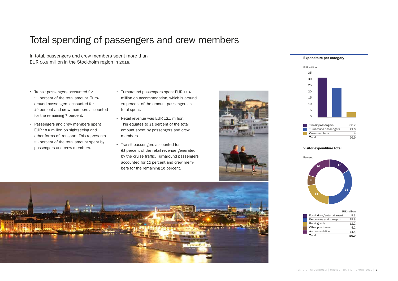## Total spending of passengers and crew members

In total, passengers and crew members spent more than EUR 56.9 million in the Stockholm region in 2018.

- Transit passengers accounted for 53 percent of the total amount. Turnaround passengers accounted for 40 percent and crew members accounted for the remaining 7 percent.
- Passengers and crew members spent EUR 19.8 million on sightseeing and other forms of transport. This represents 35 percent of the total amount spent by passengers and crew members.
- Turnaround passengers spent EUR 11.4 million on accommodation, which is around 20 percent of the amount passengers in total spent.
- Retail revenue was EUR 12.1 million. This equates to 21 percent of the total amount spent by passengers and crew members.
- Transit passengers accounted for 68 percent of the retail revenue generated by the cruise traffic. Turnaround passengers accounted for 22 percent and crew members for the remaining 10 percent.







22.6  $\overline{A}$ 56.9 Transit passengers Turnaround passengers Crew members Total

Visitor expenditure total



|                           | <b>EUR</b> million |  |
|---------------------------|--------------------|--|
| Food, drink/entertainment | 9.3                |  |
| Excursions and transport  | 19.8               |  |
| Retail goods              | 12.2               |  |
| Other purchases           | 42                 |  |
| Accommodation             | 114                |  |
| Total                     |                    |  |



ports of stockholm | cruise traffic report 2018 | 8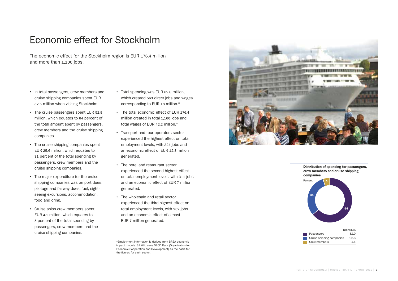## Economic effect for Stockholm

The economic effect for the Stockholm region is EUR 176.4 million and more than 1,100 jobs.

- In total passengers, crew members and cruise shipping companies spent EUR 82.6 million when visiting Stockholm.
- The cruise passengers spent EUR 52.9 million, which equates to 64 percent of the total amount spent by passengers, crew members and the cruise shipping companies.
- The cruise shipping companies spent EUR 25.6 million, which equates to 31 percent of the total spending by passengers, crew members and the cruise shipping companies.
- The major expenditure for the cruise shipping companies was on port dues, pilotage and fairway dues, fuel, sightseeing excursions, accommodation, food and drink.
- Cruise ships crew members spent EUR 4.1 million, which equates to 5 percent of the total spending by passengers, crew members and the cruise shipping companies.
- Total spending was EUR 82.6 million, which created 563 direct jobs and wages corresponding to EUR 18 million.\*
- The total economic effect of EUR 176.4 million created in total 1,160 jobs and total wages of EUR 42.2 million.\*
- Transport and tour operators sector experienced the highest effect on total employment levels, with 324 jobs and an economic effect of EUR 12.8 million generated.
- The hotel and restaurant sector experienced the second highest effect on total employment levels, with 311 jobs and an economic effect of EUR 7 million generated.
- The wholesale and retail sector experienced the third highest effect on total employment levels, with 202 jobs and an economic effect of almost EUR 7 million generated.

\*Employment information is derived from BREA economic impact models. GP Wild uses OECD Data (Organization for Economic Cooperation and Development) as the basis for the figures for each sector.



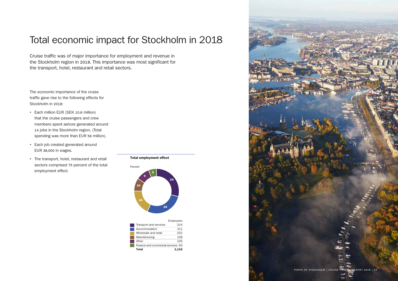# Total economic impact for Stockholm in 2018

Cruise traffic was of major importance for employment and revenue in the Stockholm region in 2018. This importance was most significant for the transport, hotel, restaurant and retail sectors.

The economic importance of the cruise traffic gave rise to the following effects for Stockholm in 2018:

- Each million EUR (SEK 10.6 million) that the cruise passengers and crew members spent ashore generated around 14 jobs in the Stockholm region. (Total spending was more than EUR 56 million).
- Each job created generated around EUR 38,000 in wages.
- The transport, hotel, restaurant and retail sectors comprised 75 percent of the total employment effect.



|                                    | Employees |
|------------------------------------|-----------|
| Transport and services             | 324       |
| Accommodation                      | 311       |
| Wholesale and retail               | 202       |
| Manufacturing                      | 108       |
| Other                              | 106       |
| Finance and commercial services 65 |           |
| Total                              |           |

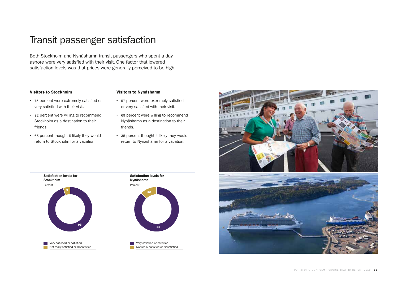## Transit passenger satisfaction

Both Stockholm and Nynäshamn transit passengers who spent a day ashore were very satisfied with their visit. One factor that lowered satisfaction levels was that prices were generally perceived to be high.

#### Visitors to Stockholm

#### Visitors to Nynäshamn

- 75 percent were extremely satisfied or very satisfied with their visit.
- 92 percent were willing to recommend Stockholm as a destination to their friends.
- 65 percent thought it likely they would return to Stockholm for a vacation.
- 57 percent were extremely satisfied or very satisfied with their visit.
- 69 percent were willing to recommend Nynäshamn as a destination to their friends.
- 35 percent thought it likely they would return to Nynäshamn for a vacation.





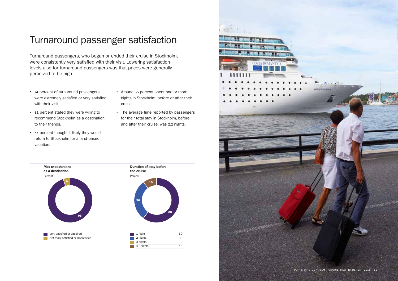## Turnaround passenger satisfaction

Turnaround passengers, who began or ended their cruise in Stockholm, were consistently very satisfied with their visit. Lowering satisfaction levels also for turnaround passengers was that prices were generally perceived to be high.

- 74 percent of turnaround passengers were extremely satisfied or very satisfied with their visit.
- 81 percent stated they were willing to recommend Stockholm as a destination to their friends.
- 57 percent thought it likely they would return to Stockholm for a land-based vacation.
- Around 65 percent spent one or more nights in Stockholm, before or after their cruise.
- The average time reported by passengers for their total stay in Stockholm, before and after their cruise, was 2.2 nights.



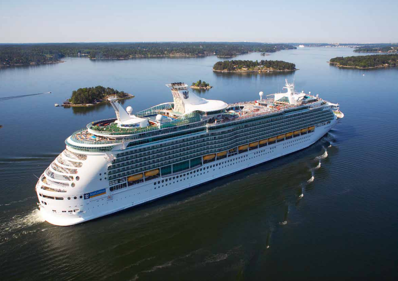